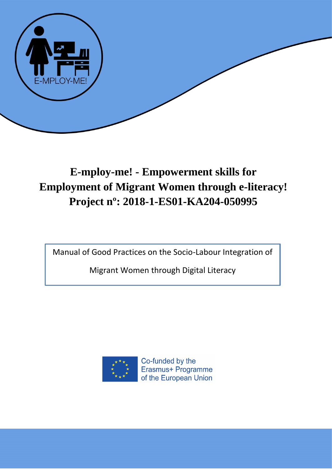

# **E-mploy-me! - Empowerment skills for Employment of Migrant Women through e-literacy! Project nº: 2018-1-ES01-KA204-050995**

Manual of Good Practices on the Socio-Labour Integration of

Migrant Women through Digital Literacy



Co-funded by the Erasmus+ Programme of the European Union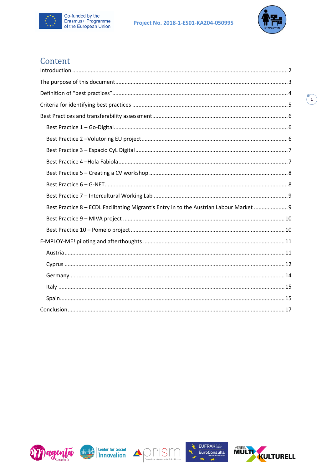



## Content

| Best Practice 8 - ECDL Facilitating Migrant's Entry in to the Austrian Labour Market |
|--------------------------------------------------------------------------------------|
|                                                                                      |
|                                                                                      |
|                                                                                      |
|                                                                                      |
|                                                                                      |
|                                                                                      |
|                                                                                      |
|                                                                                      |
|                                                                                      |











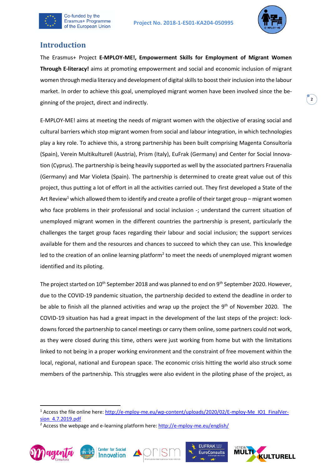



## <span id="page-2-0"></span>**Introduction**

The Erasmus+ Project **E-MPLOY-ME!, Empowerment Skills for Employment of Migrant Women Through E-literacy!** aims at promoting empowerment and social and economic inclusion of migrant women through media literacy and development of digital skills to boost their inclusion into the labour market. In order to achieve this goal, unemployed migrant women have been involved since the beginning of the project, direct and indirectly.

E-MPLOY-ME! aims at meeting the needs of migrant women with the objective of erasing social and cultural barriers which stop migrant women from social and labour integration, in which technologies play a key role. To achieve this, a strong partnership has been built comprising Magenta Consultoría (Spain), Verein Multikulturell (Austria), Prism (Italy), EuFrak (Germany) and Center for Social Innovation (Cyprus). The partnership is being heavily supported as well by the associated partners Frauenalia (Germany) and Mar Violeta (Spain). The partnership is determined to create great value out of this project, thus putting a lot of effort in all the activities carried out. They first developed a State of the Art Review<sup>1</sup> which allowed them to identify and create a profile of their target group – migrant women who face problems in their professional and social inclusion -; understand the current situation of unemployed migrant women in the different countries the partnership is present, particularly the challenges the target group faces regarding their labour and social inclusion; the support services available for them and the resources and chances to succeed to which they can use. This knowledge led to the creation of an online learning platform<sup>2</sup> to meet the needs of unemployed migrant women identified and its piloting.

The project started on  $10^{th}$  September 2018 and was planned to end on  $9^{th}$  September 2020. However, due to the COVID-19 pandemic situation, the partnership decided to extend the deadline in order to be able to finish all the planned activities and wrap up the project the 9<sup>th</sup> of November 2020. The COVID-19 situation has had a great impact in the development of the last steps of the project: lockdowns forced the partnership to cancel meetings or carry them online, some partners could not work, as they were closed during this time, others were just working from home but with the limitations linked to not being in a proper working environment and the constraint of free movement within the local, regional, national and European space. The economic crisis hitting the world also struck some members of the partnership. This struggles were also evident in the piloting phase of the project, as

<sup>&</sup>lt;sup>2</sup> Access the webpage and e-learning platform here:<http://e-mploy-me.eu/english/>











**2**

<sup>&</sup>lt;sup>1</sup> Access the file online here: [http://e-mploy-me.eu/wp-content/uploads/2020/02/E-mploy-Me\\_IO1\\_FinalVer](http://e-mploy-me.eu/wp-content/uploads/2020/02/E-mploy-Me_IO1_FinalVersion_4.7.2019.pdf)[sion\\_4.7.2019.pdf](http://e-mploy-me.eu/wp-content/uploads/2020/02/E-mploy-Me_IO1_FinalVersion_4.7.2019.pdf)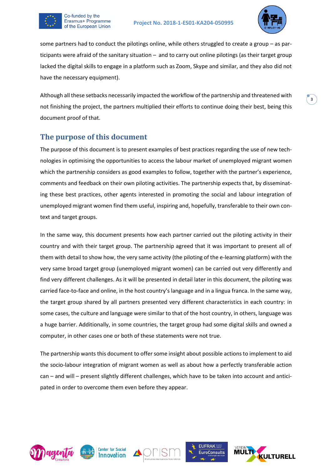



some partners had to conduct the pilotings online, while others struggled to create a group – as participants were afraid of the sanitary situation – and to carry out online pilotings (as their target group lacked the digital skills to engage in a platform such as Zoom, Skype and similar, and they also did not have the necessary equipment).

Although all these setbacks necessarily impacted the workflow of the partnership and threatened with not finishing the project, the partners multiplied their efforts to continue doing their best, being this document proof of that.

#### <span id="page-3-0"></span>**The purpose of this document**

The purpose of this document is to present examples of best practices regarding the use of new technologies in optimising the opportunities to access the labour market of unemployed migrant women which the partnership considers as good examples to follow, together with the partner's experience, comments and feedback on their own piloting activities. The partnership expects that, by disseminating these best practices, other agents interested in promoting the social and labour integration of unemployed migrant women find them useful, inspiring and, hopefully, transferable to their own context and target groups.

In the same way, this document presents how each partner carried out the piloting activity in their country and with their target group. The partnership agreed that it was important to present all of them with detail to show how, the very same activity (the piloting of the e-learning platform) with the very same broad target group (unemployed migrant women) can be carried out very differently and find very different challenges. As it will be presented in detail later in this document, the piloting was carried face-to-face and online, in the host country's language and in a lingua franca. In the same way, the target group shared by all partners presented very different characteristics in each country: in some cases, the culture and language were similar to that of the host country, in others, language was a huge barrier. Additionally, in some countries, the target group had some digital skills and owned a computer, in other cases one or both of these statements were not true.

The partnership wants this document to offer some insight about possible actions to implement to aid the socio-labour integration of migrant women as well as about how a perfectly transferable action can – and will – present slightly different challenges, which have to be taken into account and anticipated in order to overcome them even before they appear.









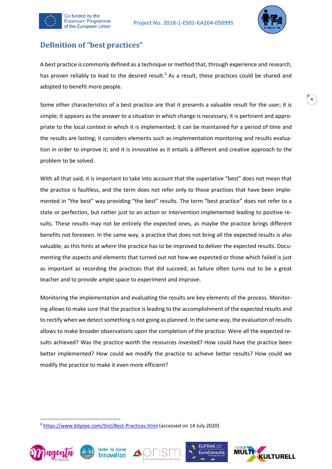



## <span id="page-4-0"></span>**Definition of "best practices"**

A best practice is commonly defined as a technique or method that, through experience and research, has proven reliably to lead to the desired result.<sup>3</sup> As a result, these practices could be shared and adopted to benefit more people.

Some other characteristics of a best practice are that it presents a valuable result for the user; it is simple; it appears as the answer to a situation in which change is necessary; it is pertinent and appropriate to the local context in which it is implemented; it can be maintained for a period of time and the results are lasting; it considers elements such as implementation monitoring and results evaluation in order to improve it; and it is innovative as it entails a different and creative approach to the problem to be solved.

With all that said, it is important to take into account that the superlative "best" does not mean that the practice is faultless, and the term does not refer only to those practices that have been implemented in "the best" way providing "the best" results. The term "best practice" does not refer to a state or perfection, but rather just to an action or intervention implemented leading to positive results. These results may not be entirely the expected ones, as maybe the practice brings different benefits not foreseen. In the same way, a practice that does not bring all the expected results is also valuable, as this hints at *where* the practice has to be improved to deliver the expected results. Documenting the aspects and elements that turned out not how we expected or those which failed is just as important as recording the practices that did succeed, as failure often turns out to be a great teacher and to provide ample space to experiment and improve.

Monitoring the implementation and evaluating the results are key elements of the process. Monitoring allows to make sure that the practice is leading to the accomplishment of the expected results and to rectify when we detect something is not going as planned. In the same way, the evaluation of results allows to make broader observations upon the completion of the practice: Were all the expected results achieved? Was the practice worth the resources invested? How could have the practice been better implemented? How could we modify the practice to achieve better results? How could we modify the practice to make it even more efficient?

<sup>&</sup>lt;sup>3</sup> <https://www.bitpipe.com/tlist/Best-Practices.html> (accessed on 14 July 2020)









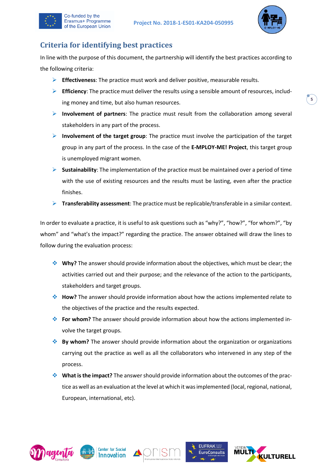



## <span id="page-5-0"></span>**Criteria for identifying best practices**

Co-funded by the Erasmus+ Programme of the European Union

In line with the purpose of this document, the partnership will identify the best practices according to the following criteria:

- ➢ **Effectiveness**: The practice must work and deliver positive, measurable results.
- ➢ **Efficiency**: The practice must deliver the results using a sensible amount of resources, including money and time, but also human resources.
- ➢ **Involvement of partners**: The practice must result from the collaboration among several stakeholders in any part of the process.
- ➢ **Involvement of the target group**: The practice must involve the participation of the target group in any part of the process. In the case of the **E-MPLOY-ME! Project**, this target group is unemployed migrant women.
- ➢ **Sustainability**: The implementation of the practice must be maintained over a period of time with the use of existing resources and the results must be lasting, even after the practice finishes.
- ➢ **Transferability assessment**: The practice must be replicable/transferable in a similar context.

In order to evaluate a practice, it is useful to ask questions such as "why?", "how?", "for whom?", "by whom" and "what's the impact?" regarding the practice. The answer obtained will draw the lines to follow during the evaluation process:

- ❖ **Why?** The answer should provide information about the objectives, which must be clear; the activities carried out and their purpose; and the relevance of the action to the participants, stakeholders and target groups.
- ❖ **How?** The answer should provide information about how the actions implemented relate to the objectives of the practice and the results expected.
- ❖ **For whom?** The answer should provide information about how the actions implemented involve the target groups.
- ❖ **By whom?** The answer should provide information about the organization or organizations carrying out the practice as well as all the collaborators who intervened in any step of the process.
- ❖ **What is the impact?** The answer should provide information about the outcomes of the practice as well as an evaluation at the level at which it was implemented (local, regional, national, European, international, etc).









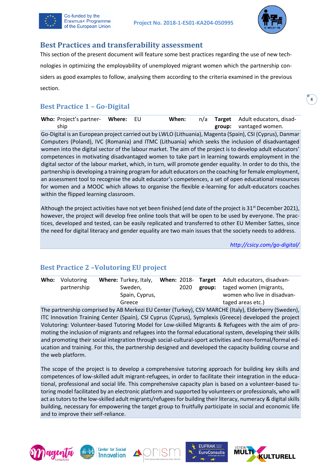



## <span id="page-6-0"></span>**Best Practices and transferability assessment**

This section of the present document will feature some best practices regarding the use of new technologies in optimizing the employability of unemployed migrant women which the partnership considers as good examples to follow, analysing them according to the criteria examined in the previous section.

## <span id="page-6-1"></span>**Best Practice 1 – Go-Digital**

| Who: Project's partner- Where: EU |  | When: |  | n/a <b>Target</b> Adult educators, disad- |
|-----------------------------------|--|-------|--|-------------------------------------------|
| ship                              |  |       |  | group: vantaged women.                    |

Go-Digital is an European project carried out by LWLO (Lithuania), Magenta (Spain), CSI (Cyprus), Danmar Computers (Poland), IVC (Romania) and ITMC (Lithuania) which seeks the inclusion of disadvantaged women into the digital sector of the labour market. The aim of the project is to develop adult educators' competences in motivating disadvantaged women to take part in learning towards employment in the digital sector of the labour market, which, in turn, will promote gender equality. In order to do this, the partnership is developing a training program for adult educators on the coaching for female employment, an assessment tool to recognise the adult educator's competences, a set of open educational resources for women and a MOOC which allows to organise the flexible e-learning for adult-educators coaches within the flipped learning classroom.

Although the project activities have not yet been finished (end date of the project is  $31^{st}$  December 2021), however, the project will develop free online tools that will be open to be used by everyone. The practices, developed and tested, can be easily replicated and transferred to other EU Member Sattes, since the need for digital literacy and gender equality are two main issues that the society needs to address.

*<http://csicy.com/go-digital/>*

## <span id="page-6-2"></span>**Best Practice 2 –Volutoring EU project**

| <b>Who:</b> Volutoring | <b>Where:</b> Turkey, Italy, |  | When: 2018- Target Adult educators, disadvan- |
|------------------------|------------------------------|--|-----------------------------------------------|
| partnership            | Sweden,                      |  | 2020 group: taged women (migrants,            |
|                        | Spain, Cyprus,               |  | women who live in disadvan-                   |
|                        | Greece                       |  | taged areas etc.)                             |

The partnership comprised by AB Merkezi EU Center (Turkey), CSV MARCHE (Italy), Elderberry (Sweden), ITC Innovation Training Center (Spain), CSI Cyprus (Cyprus), Symplexis (Greece) developed the project Volutoring: Volunteer-based Tutoring Model for Low-skilled Migrants & Refugees with the aim of promoting the inclusion of migrants and refugees into the formal educational system, developing their skills and promoting their social integration through social-cultural-sport activities and non-formal/formal education and training. For this, the partnership designed and developed the capacity building course and the web platform.

The scope of the project is to develop a comprehensive tutoring approach for building key skills and competences of low-skilled adult migrant-refugees, in order to facilitate their integration in the educational, professional and social life. This comprehensive capacity plan is based on a volunteer-based tutoring model facilitated by an electronic platform and supported by volunteers or professionals, who will act as tutors to the low-skilled adult migrants/refugees for building their literacy, numeracy & digital skills building, necessary for empowering the target group to fruitfully participate in social and economic life and to improve their self-reliance.









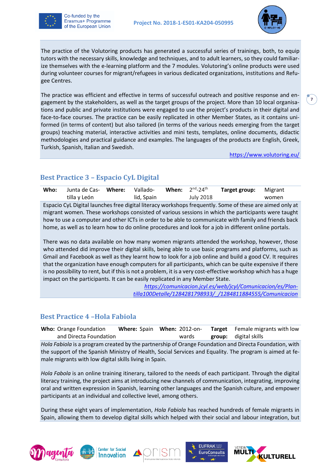



The practice of the Volutoring products has generated a successful series of trainings, both, to equip tutors with the necessary skills, knowledge and techniques, and to adult learners, so they could familiarize themselves with the e-learning platform and the 7 modules. Volutoring's online products were used during volunteer courses for migrant/refugees in various dedicated organizations, institutions and Refugee Centres.

The practice was efficient and effective in terms of successful outreach and positive response and engagement by the stakeholders, as well as the target groups of the project. More than 10 local organisations and public and private institutions were engaged to use the project's products in their digital and face-to-face courses. The practice can be easily replicated in other Member States, as it contains uniformed (in terms of content) but also tailored (in terms of the various needs emerging from the target groups) teaching material, interactive activities and mini tests, templates, online documents, didactic methodologies and practical guidance and examples. The languages of the products are English, Greek, Turkish, Spanish, Italian and Swedish.

<https://www.volutoring.eu/>

## <span id="page-7-0"></span>**Best Practice 3 – Espacio CyL Digital**

| Who:                                                                                               | Junta de Cas- | Where: | Vallado-   | When: | $2nd - 24th$     | Target group:                                                                                            | Migrant |
|----------------------------------------------------------------------------------------------------|---------------|--------|------------|-------|------------------|----------------------------------------------------------------------------------------------------------|---------|
|                                                                                                    | tilla y León  |        | lid, Spain |       | <b>July 2018</b> |                                                                                                          | women   |
|                                                                                                    |               |        |            |       |                  | Espacio CyL Digital launches free digital literacy workshops frequently. Some of these are aimed only at |         |
| migrant women. These workshops consisted of various sessions in which the participants were taught |               |        |            |       |                  |                                                                                                          |         |
|                                                                                                    |               |        |            |       |                  | how to use a computer and other ICTs in order to be able to communicate with family and friends back     |         |
|                                                                                                    |               |        |            |       |                  | home, as well as to learn how to do online procedures and look for a job in different online portals.    |         |

There was no data available on how many women migrants attended the workshop, however, those who attended did improve their digital skills, being able to use basic programs and platforms, such as Gmail and Facebook as well as they learnt how to look for a job online and build a good CV. It requires that the organization have enough computers for all participants, which can be quite expensive if there is no possibility to rent, but if this is not a problem, it is a very cost-effective workshop which has a huge impact on the participants. It can be easily replicated in any Member State.

> *[https://comunicacion.jcyl.es/web/jcyl/Comunicacion/es/Plan](https://comunicacion.jcyl.es/web/jcyl/Comunicacion/es/Plantilla100Detalle/1284281798933/_/1284811884555/Comunicacion)[tilla100Detalle/1284281798933/\\_/1284811884555/Comunicacion](https://comunicacion.jcyl.es/web/jcyl/Comunicacion/es/Plantilla100Detalle/1284281798933/_/1284811884555/Comunicacion)*

#### <span id="page-7-1"></span>**Best Practice 4 –Hola Fabiola**

**Who:** Orange Foundation and Directa Foundation **Where:** Spain **When:** 2012-onwards **Target group:** Female migrants with low digital skills *Hola Fabiola* is a program created by the partnership of Orange Foundation and Directa Foundation, with the support of the Spanish Ministry of Health, Social Services and Equality. The program is aimed at female migrants with low digital skills living in Spain.

*Hola Fabola* is an online training itinerary, tailored to the needs of each participant. Through the digital literacy training, the project aims at introducing new channels of communication, integrating, improving oral and written expression in Spanish, learning other languages and the Spanish culture, and empower participants at an individual and collective level, among others.

During these eight years of implementation, *Hola Fabiola* has reached hundreds of female migrants in Spain, allowing them to develop digital skills which helped with their social and labour integration, but









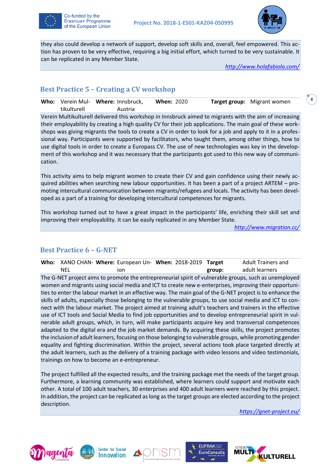



they also could develop a network of support, develop soft skills and, overall, feel empowered. This action has proven to be very effective, requiring a big initial effort, which turned to be very sustainable. It can be replicated in any Member State.

*<http://www.holafabiola.com/>*

#### <span id="page-8-0"></span>**Best Practice 5 – Creating a CV workshop**

**Who:** Verein Mul-**Where:** Innsbruck, tikulturell Austria **When:** 2020 **Target group:** Migrant women

Verein Multikulturell delivered this workshop in Innsbruck aimed to migrants with the aim of increasing their employability by creating a high quality CV for their job applications. The main goal of these workshops was giving migrants the tools to create a CV in order to look for a job and apply to it in a professional way. Participants were supported by facilitators, who taught them, among other things, how to use digital tools in order to create a Europass CV. The use of new technologies was key in the development of this workshop and it was necessary that the participants got used to this new way of communication.

This activity aims to help migrant women to create their CV and gain confidence using their newly acquired abilities when searching new labour opportunities. It has been a part of a project ARTEM – promoting intercultural communication between migrants/refugees and locals. The activity has been developed as a part of a training for developing intercultural competences for migrants.

This workshop turned out to have a great impact in the participants' life, enriching their skill set and improving their employability. It can be easily replicated in any Member State.

*<http://www.migration.cc/>*

#### <span id="page-8-1"></span>**Best Practice 6 – G-NET**

|     | Who: XANO CHAN- Where: European Un- When: 2018-2019 Target |        | <b>Adult Trainers and</b> |  |
|-----|------------------------------------------------------------|--------|---------------------------|--|
| NEL | ıon                                                        | group: | adult learners            |  |

The G-NET project aims to promote the entrepreneurial spirit of vulnerable groups, such as unemployed women and migrants using social media and ICT to create new e-enterprises, improving their opportunities to enter the labour market in an effective way. The main goal of the G-NET project is to enhance the skills of adults, especially those belonging to the vulnerable groups, to use social media and ICT to connect with the labour market. The project aimed at training adult's teachers and trainers in the effective use of ICT tools and Social Media to find job opportunities and to develop entrepreneurial spirit in vulnerable adult groups, which, in turn, will make participants acquire key and transversal competences adapted to the digital era and the job market demands. By acquiring these skills, the project promotes the inclusion of adult learners, focusing on those belonging to vulnerable groups, while promoting gender equality and fighting discrimination. Within the project, several actions took place targeted directly at the adult learners, such as the delivery of a training package with video lessons and video testimonials, trainings on how to become an e-entrepreneur.

The project fulfilled all the expected results, and the training package met the needs of the target group. Furthermore, a learning community was established, where learners could support and motivate each other. A total of 100 adult teachers, 30 enterprises and 400 adult learners were reached by this project. In addition, the project can be replicated as long as the target groups are elected according to the project description.

*<https://gnet-project.eu/>*









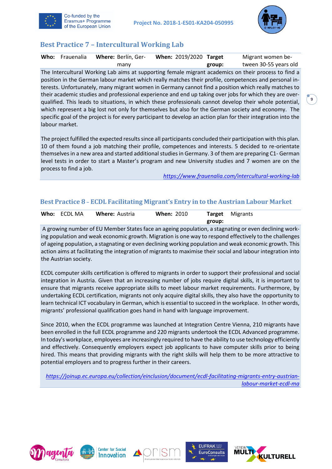



## <span id="page-9-0"></span>**Best Practice 7 – Intercultural Working Lab**

| Who: Frauenalia | Where: Berlín, Ger- | When: 2019/2020 Target |        | Migrant women be-                                                                                              |  |
|-----------------|---------------------|------------------------|--------|----------------------------------------------------------------------------------------------------------------|--|
|                 | many                |                        | group: | tween 30-55 years old                                                                                          |  |
|                 |                     |                        |        | The Intercultural Working Lab aims at supporting female migrant academics on their process to find a           |  |
|                 |                     |                        |        | position in the German labour market which really matches their profile, competences and personal in-          |  |
|                 |                     |                        |        | terests. Unfortunately, many migrant women in Germany cannot find a position which really matches to           |  |
|                 |                     |                        |        | their academic studies and professional experience and end up taking over jobs for which they are over-        |  |
|                 |                     |                        |        | qualified. This leads to situations, in which these professionals cannot develop their whole potential,        |  |
|                 |                     |                        |        | which represent a big lost not only for themselves but also for the German society and economy. The            |  |
|                 |                     |                        |        | specific goal of the project is for every participant to develop an action plan for their integration into the |  |
| labour market.  |                     |                        |        |                                                                                                                |  |

The project fulfilled the expected results since all participants concluded their participation with this plan. 10 of them found a job matching their profile, competences and interests. 5 decided to re-orientate themselves in a new area and started additional studies in Germany. 3 of them are preparing C1- German level tests in order to start a Master's program and new University studies and 7 women are on the process to find a job.

*<https://www.frauenalia.com/intercultural-working-lab>*

#### <span id="page-9-1"></span>**Best Practice 8 – ECDL Facilitating Migrant's Entry in to the Austrian Labour Market**

| Who: ECDL MA | <b>Where: Austria</b> | <b>When: 2010</b> |        | <b>Target</b> Migrants |
|--------------|-----------------------|-------------------|--------|------------------------|
|              |                       |                   | group: |                        |

A growing number of EU Member States face an ageing population, a stagnating or even declining working population and weak economic growth. Migration is one way to respond effectively to the challenges of ageing population, a stagnating or even declining working population and weak economic growth. This action aims at facilitating the integration of migrants to maximise their social and labour integration into the Austrian society.

ECDL computer skills certification is offered to migrants in order to support their professional and social integration in Austria. Given that an increasing number of jobs require digital skills, it is important to ensure that migrants receive appropriate skills to meet labour market requirements. Furthermore, by undertaking ECDL certification, migrants not only acquire digital skills, they also have the opportunity to learn technical ICT vocabulary in German, which is essential to succeed in the workplace. In other words, migrants' professional qualification goes hand in hand with language improvement.

Since 2010, when the ECDL programme was launched at Integration Centre Vienna, 210 migrants have been enrolled in the full ECDL programme and 220 migrants undertook the ECDL Advanced programme. In today's workplace, employees are increasingly required to have the ability to use technology efficiently and effectively. Consequently employers expect job applicants to have computer skills prior to being hired. This means that providing migrants with the right skills will help them to be more attractive to potential employers and to progress further in their careers.

*[https://joinup.ec.europa.eu/collection/einclusion/document/ecdl-facilitating-migrants-entry-austrian](https://joinup.ec.europa.eu/collection/einclusion/document/ecdl-facilitating-migrants-entry-austrian-labour-market-ecdl-ma)[labour-market-ecdl-ma](https://joinup.ec.europa.eu/collection/einclusion/document/ecdl-facilitating-migrants-entry-austrian-labour-market-ecdl-ma)*









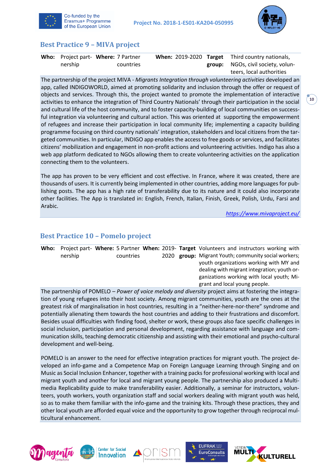



#### <span id="page-10-0"></span>**Best Practice 9 – MIVA project**

|         | Who: Project part- Where: 7 Partner |  | When: 2019-2020 Target Third country nationals, |
|---------|-------------------------------------|--|-------------------------------------------------|
| nership | countries                           |  | <b>group:</b> NGOs, civil society, volun-       |
|         |                                     |  | teers, local authorities                        |

The partnership of the project MIVA - *Migrants Integration through volunteering activities* developed an app, called INDIGOWORLD, aimed at promoting solidarity and inclusion through the offer or request of objects and services. Through this, the project wanted to promote the implementation of interactive activities to enhance the integration of Third Country Nationals' through their participation in the social and cultural life of the host community, and to foster capacity-building of local communities on successful integration via volunteering and cultural action. This was oriented at supporting the empowerment of refugees and increase their participation in local community life; implementing a capacity building programme focusing on third country nationals' integration, stakeholders and local citizens from the targeted communities. In particular, INDIGO app enables the access to free goods or services, and facilitates citizens' mobilization and engagement in non-profit actions and volunteering activities. Indigo has also a web app platform dedicated to NGOs allowing them to create volunteering activities on the application connecting them to the volunteers.

The app has proven to be very efficient and cost effective. In France, where it was created, there are thousands of users. It is currently being implemented in other countries, adding more languages for publishing posts. The app has a high rate of transferability due to its nature and it could also incorporate other facilities. The App is translated in: English, French, Italian, Finish, Greek, Polish, Urdu, Farsi and Arabic.

*<https://www.mivaproject.eu/>*

#### <span id="page-10-1"></span>**Best Practice 10 – Pomelo project**

| Who: |         |           |  | Project part- Where: 5 Partner When: 2019- Target Volunteers and instructors working with |
|------|---------|-----------|--|-------------------------------------------------------------------------------------------|
|      | nership | countries |  | 2020 group: Migrant Youth; community social workers;                                      |
|      |         |           |  | youth organizations working with MY and                                                   |
|      |         |           |  | dealing with migrant integration; youth or-                                               |
|      |         |           |  | ganizations working with local youth; Mi-                                                 |
|      |         |           |  | grant and local young people.                                                             |

The partnership of POMELO – *Power of voice melody and diversity* project aims at fostering the integration of young refugees into their host society. Among migrant communities, youth are the ones at the greatest risk of marginalisation in host countries, resulting in a "neither-here-nor-there" syndrome and potentially alienating them towards the host countries and adding to their frustrations and discomfort. Besides usual difficulties with finding food, shelter or work, these groups also face specific challenges in social inclusion, participation and personal development, regarding assistance with language and communication skills, teaching democratic citizenship and assisting with their emotional and psycho-cultural development and well-being.

POMELO is an answer to the need for effective integration practices for migrant youth. The project developed an info-game and a Competence Map on Foreign Language Learning through Singing and on Music as Social Inclusion Enhancer, together with a training packs for professional working with local and migrant youth and another for local and migrant young people. The partnership also produced a Multimedia Replicability guide to make transferability easier. Additionally, a seminar for instructors, volunteers, youth workers, youth organization staff and social workers dealing with migrant youth was held, so as to make them familiar with the info-game and the training kits. Through these practices, they and other local youth are afforded equal voice and the opportunity to grow together through reciprocal multicultural enhancement.









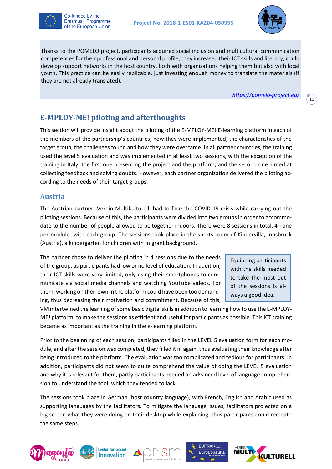



Thanks to the POMELO project, participants acquired social inclusion and multicultural communication competences for their professional and personal profile; they increased their ICT skills and literacy; could develop support networks in the host country, both with organizations helping them but also with local youth. This practice can be easily replicable, just investing enough money to translate the materials (if they are not already translated).

*<https://pomelo-project.eu/>*

**11**

## <span id="page-11-0"></span>**E-MPLOY-ME! piloting and afterthoughts**

This section will provide insight about the piloting of the E-MPLOY-ME! E-learning platform in each of the members of the partnership's countries, how they were implemented, the characteristics of the target group, the challenges found and how they were overcame. In all partner countries, the training used the level 5 evaluation and was implemented in at least two sessions, with the exception of the training in Italy: the first one presenting the project and the platform, and the second one aimed at collecting feedback and solving doubts. However, each partner organization delivered the piloting according to the needs of their target groups.

#### <span id="page-11-1"></span>**Austria**

The Austrian partner, Verein Multikulturell, had to face the COVID-19 crisis while carrying out the piloting sessions. Because of this, the participants were divided into two groups in order to accommodate to the number of people allowed to be together indoors. There were 8 sessions in total, 4 –one per module- with each group. The sessions took place in the sports room of Kindervilla, Innsbruck (Austria), a kindergarten for children with migrant background.

The partner chose to deliver the piloting in 4 sessions due to the needs of the group, as participants had low or no level of education. In addition, their ICT skills were very limited, only using their smartphones to communicate via social media channels and watching YouTube videos. For them, working on their own in the platform could have been too demanding, thus decreasing their motivation and commitment. Because of this,

Equipping participants with the skills needed to take the most out of the sessions is always a good idea.

VM intertwined the learning of some basic digital skills in addition to learning how to use the E-MPLOY-ME! platform, to make the sessions as efficient and useful for participants as possible. This ICT training became as important as the training in the e-learning platform.

Prior to the beginning of each session, participants filled in the LEVEL 5 evaluation form for each module, and after the session was completed, they filled it in again, thus evaluating their knowledge after being introduced to the platform. The evaluation was too complicated and tedious for participants. In addition, participants did not seem to quite comprehend the value of doing the LEVEL 5 evaluation and why it is relevant for them, partly participants needed an advanced level of language comprehension to understand the tool, which they tended to lack.

The sessions took place in German (host country language), with French, English and Arabic used as supporting languages by the facilitators. To mitigate the language issues, facilitators projected on a big screen what they were doing on their desktop while explaining, thus participants could recreate the same steps.









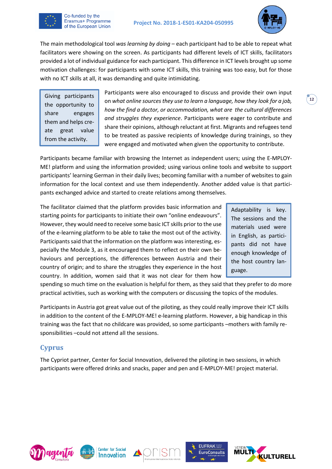

The main methodological tool *was learning by doing* – each participant had to be able to repeat what facilitators were showing on the screen. As participants had different levels of ICT skills, facilitators provided a lot of individual guidance for each participant. This difference in ICT levels brought up some motivation challenges: for participants with some ICT skills, this training was too easy, but for those with no ICT skills at all, it was demanding and quite intimidating.

Giving participants the opportunity to share engages them and helps create great value from the activity.

Co-funded by the Erasmus+ Programme of the European Union

> Participants were also encouraged to discuss and provide their own input on *what online sources they use to learn a language, how they look for a job, how the find a doctor, or accommodation, what are the cultural differences and struggles they experience*. Participants were eager to contribute and share their opinions, although reluctant at first. Migrants and refugees tend to be treated as passive recipients of knowledge during trainings, so they were engaged and motivated when given the opportunity to contribute.

Participants became familiar with browsing the Internet as independent users; using the E-MPLOY-ME! platform and using the information provided; using various online tools and website to support participants' learning German in their daily lives; becoming familiar with a number of websites to gain information for the local context and use them independently. Another added value is that participants exchanged advice and started to create relations among themselves.

The facilitator claimed that the platform provides basic information and starting points for participants to initiate their own "online endeavours". However, they would need to receive some basic ICT skills prior to the use of the e-learning platform to be able to take the most out of the activity. Participants said that the information on the platform was interesting, especially the Module 3, as it encouraged them to reflect on their own behaviours and perceptions, the differences between Austria and their country of origin; and to share the struggles they experience in the host country. In addition, women said that it was not clear for them how

Adaptability is key. The sessions and the materials used were in English, as participants did not have enough knowledge of the host country language.

spending so much time on the evaluation is helpful for them, as they said that they prefer to do more practical activities, such as working with the computers or discussing the topics of the modules.

Participants in Austria got great value out of the piloting, as they could really improve their ICT skills in addition to the content of the E-MPLOY-ME! e-learning platform. However, a big handicap in this training was the fact that no childcare was provided, so some participants –mothers with family responsibilities –could not attend all the sessions.

#### <span id="page-12-0"></span>**Cyprus**

The Cypriot partner, Center for Social Innovation, delivered the piloting in two sessions, in which participants were offered drinks and snacks, paper and pen and E-MPLOY-ME! project material.









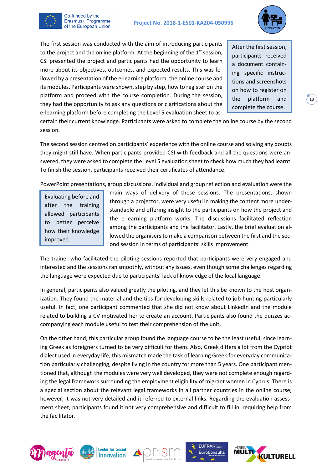

The first session was conducted with the aim of introducing participants to the project and the online platform. At the beginning of the  $1<sup>st</sup>$  session, CSI presented the project and participants had the opportunity to learn more about its objectives, outcomes, and expected results. This was followed by a presentation of the e-learning platform, the online course and its modules. Participants were shown, step by step, how to register on the platform and proceed with the course completion. During the session, they had the opportunity to ask any questions or clarifications about the e-learning platform before completing the Level 5 evaluation sheet to as-

After the first session, participants received a document containing specific instructions and screenshots on how to register on the platform and complete the course.

certain their current knowledge. Participants were asked to complete the online course by the second session.

The second session centred on participants' experience with the online course and solving any doubts they might still have. When participants provided CSI with feedback and all the questions were answered, they were asked to complete the Level 5 evaluation sheet to check how much they had learnt. To finish the session, participants received their certificates of attendance.

PowerPoint presentations, group discussions, individual and group reflection and evaluation were the

Evaluating before and after the training allowed participants to better perceive how their knowledge improved.

Co-funded by the Erasmus+ Programme of the European Union

> main ways of delivery of these sessions. The presentations, shown through a projector, were very useful in making the content more understandable and offering insight to the participants on how the project and the e-learning platform works. The discussions facilitated reflection among the participants and the facilitator. Lastly, the brief evaluation allowed the organisers to make a comparison between the first and the second session in terms of participants' skills improvement.

The trainer who facilitated the piloting sessions reported that participants were very engaged and interested and the sessions ran smoothly, without any issues, even though some challenges regarding the language were expected due to participants' lack of knowledge of the local language.

In general, participants also valued greatly the piloting, and they let this be known to the host organization. They found the material and the tips for developing skills related to job-hunting particularly useful. In fact, one participant commented that she did not know about LinkedIn and the module related to building a CV motivated her to create an account. Participants also found the quizzes accompanying each module useful to test their comprehension of the unit.

On the other hand, this particular group found the language course to be the least useful, since learning Greek as foreigners turned to be very difficult for them. Also, Greek differs a lot from the Cypriot dialect used in everyday life; this mismatch made the task of learning Greek for everyday communication particularly challenging, despite living in the country for more than 5 years. One participant mentioned that, although the modules were very well developed, they were not complete enough regarding the legal framework surrounding the employment eligibility of migrant women in Cyprus. There is a special section about the relevant legal frameworks in all partner countries in the online course; however, it was not very detailed and it referred to external links. Regarding the evaluation assessment sheet, participants found it not very comprehensive and difficult to fill in, requiring help from the facilitator.









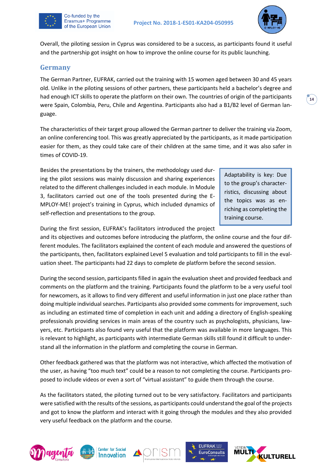

Overall, the piloting session in Cyprus was considered to be a success, as participants found it useful and the partnership got insight on how to improve the online course for its public launching.

#### <span id="page-14-0"></span>**Germany**

Co-funded by the Erasmus+ Programme of the European Union

The German Partner, EUFRAK, carried out the training with 15 women aged between 30 and 45 years old. Unlike in the piloting sessions of other partners, these participants held a bachelor's degree and had enough ICT skills to operate the platform on their own. The countries of origin of the participants were Spain, Colombia, Peru, Chile and Argentina. Participants also had a B1/B2 level of German language.

The characteristics of their target group allowed the German partner to deliver the training via Zoom, an online conferencing tool. This was greatly appreciated by the participants, as it made participation easier for them, as they could take care of their children at the same time, and it was also safer in times of COVID-19.

Besides the presentations by the trainers, the methodology used during the pilot sessions was mainly discussion and sharing experiences related to the different challenges included in each module. In Module 3, facilitators carried out one of the tools presented during the E-MPLOY-ME! project's training in Cyprus, which included dynamics of self-reflection and presentations to the group.

Adaptability is key: Due to the group's characterristics, discussing about the topics was as enriching as completing the training course.

During the first session, EUFRAK's facilitators introduced the project

and its objectives and outcomes before introducing the platform, the online course and the four different modules. The facilitators explained the content of each module and answered the questions of the participants, then, facilitators explained Level 5 evaluation and told participants to fill in the evaluation sheet. The participants had 22 days to complete de platform before the second session.

During the second session, participants filled in again the evaluation sheet and provided feedback and comments on the platform and the training. Participants found the platform to be a very useful tool for newcomers, as it allows to find very different and useful information in just one place rather than doing multiple individual searches. Participants also provided some comments for improvement, such as including an estimated time of completion in each unit and adding a directory of English-speaking professionals providing services in main areas of the country such as psychologists, physicians, lawyers, etc. Participants also found very useful that the platform was available in more languages. This is relevant to highlight, as participants with intermediate German skills still found it difficult to understand all the information in the platform and completing the course in German.

Other feedback gathered was that the platform was not interactive, which affected the motivation of the user, as having "too much text" could be a reason to not completing the course. Participants proposed to include videos or even a sort of "virtual assistant" to guide them through the course.

As the facilitators stated, the piloting turned out to be very satisfactory. Facilitators and participants were satisfied with the results of the sessions, as participants could understand the goal of the projects and got to know the platform and interact with it going through the modules and they also provided very useful feedback on the platform and the course.









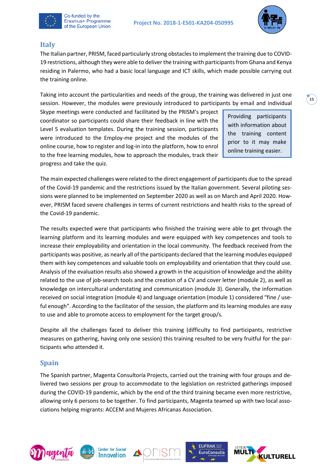



#### <span id="page-15-0"></span>**Italy**

The Italian partner, PRISM, faced particularly strong obstaclesto implement the training due to COVID-19 restrictions, although they were able to deliver the training with participants from Ghana and Kenya residing in Palermo, who had a basic local language and ICT skills, which made possible carrying out the training online.

Taking into account the particularities and needs of the group, the training was delivered in just one session. However, the modules were previously introduced to participants by email and individual

Skype meetings were conducted and facilitated by the PRISM's project coordinator so participants could share their feedback in line with the Level 5 evaluation templates. During the training session, participants were introduced to the Employ-me project and the modules of the online course, how to register and log-in into the platform, how to enrol to the free learning modules, how to approach the modules, track their progress and take the quiz.

Providing participants with information about the training content prior to it may make online training easier.

The main expected challenges were related to the direct engagement of participants due to the spread of the Covid-19 pandemic and the restrictions issued by the Italian government. Several piloting sessions were planned to be implemented on September 2020 as well as on March and April 2020. However, PRISM faced severe challenges in terms of current restrictions and health risks to the spread of the Covid-19 pandemic.

The results expected were that participants who finished the training were able to get through the learning platform and its learning modules and were equipped with key competences and tools to increase their employability and orientation in the local community. The feedback received from the participants was positive, as nearly all of the participants declared that the learning modules equipped them with key competences and valuable tools on employability and orientation that they could use. Analysis of the evaluation results also showed a growth in the acquisition of knowledge and the ability related to the use of job-search tools and the creation of a CV and cover letter (module 2), as well as knowledge on intercultural understating and communication (module 3). Generally, the information received on social integration (module 4) and language orientation (module 1) considered "fine / useful enough". According to the facilitator of the session, the platform and its learning modules are easy to use and able to promote access to employment for the target group/s.

Despite all the challenges faced to deliver this training (difficulty to find participants, restrictive measures on gathering, having only one session) this training resulted to be very fruitful for the participants who attended it.

#### <span id="page-15-1"></span>**Spain**

The Spanish partner, Magenta Consultoría Projects, carried out the training with four groups and delivered two sessions per group to accommodate to the legislation on restricted gatherings imposed during the COVID-19 pandemic, which by the end of the third training became even more restrictive, allowing only 6 persons to be together. To find participants, Magenta teamed up with two local associations helping migrants: ACCEM and Mujeres Africanas Association.









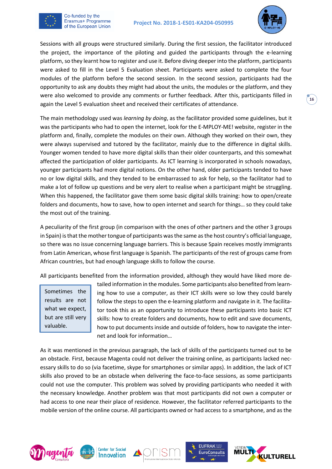

Sessions with all groups were structured similarly. During the first session, the facilitator introduced the project, the importance of the piloting and guided the participants through the e-learning platform, so they learnt how to register and use it. Before diving deeper into the platform, participants were asked to fill in the Level 5 Evaluation sheet. Participants were asked to complete the four modules of the platform before the second session. In the second session, participants had the opportunity to ask any doubts they might had about the units, the modules or the platform, and they were also welcomed to provide any comments or further feedback. After this, participants filled in again the Level 5 evaluation sheet and received their certificates of attendance.

The main methodology used was *learning by doing*, as the facilitator provided some guidelines, but it was the participants who had to open the internet, look for the E-MPLOY-ME! website, register in the platform and, finally, complete the modules on their own. Although they worked on their own, they were always supervised and tutored by the facilitator, mainly due to the difference in digital skills. Younger women tended to have more digital skills than their older counterparts, and this somewhat affected the participation of older participants. As ICT learning is incorporated in schools nowadays, younger participants had more digital notions. On the other hand, older participants tended to have no or low digital skills, and they tended to be embarrassed to ask for help, so the facilitator had to make a lot of follow up questions and be very alert to realise when a participant might be struggling. When this happened, the facilitator gave them some basic digital skills training: how to open/create folders and documents, how to save, how to open internet and search for things… so they could take the most out of the training.

A peculiarity of the first group (in comparison with the ones of other partners and the other 3 groups in Spain) is that the mother tongue of participants was the same as the host country's official language, so there was no issue concerning language barriers. This is because Spain receives mostly immigrants from Latin American, whose first language is Spanish. The participants of the rest of groups came from African countries, but had enough language skills to follow the course.

All participants benefited from the information provided, although they would have liked more de-

Sometimes the results are not what we expect, but are still very valuable.

Co-funded by the Erasmus+ Programme of the European Union

> tailed information in the modules. Some participants also benefited from learning how to use a computer, as their ICT skills were so low they could barely follow the steps to open the e-learning platform and navigate in it. The facilitator took this as an opportunity to introduce these participants into basic ICT skills: how to create folders and documents, how to edit and save documents, how to put documents inside and outside of folders, how to navigate the internet and look for information…

As it was mentioned in the previous paragraph, the lack of skills of the participants turned out to be an obstacle. First, because Magenta could not deliver the training online, as participants lacked necessary skills to do so (via facetime, skype for smartphones or similar apps). In addition, the lack of ICT skills also proved to be an obstacle when delivering the face-to-face sessions, as some participants could not use the computer. This problem was solved by providing participants who needed it with the necessary knowledge. Another problem was that most participants did not own a computer or had access to one near their place of residence. However, the facilitator referred participants to the mobile version of the online course. All participants owned or had access to a smartphone, and as the









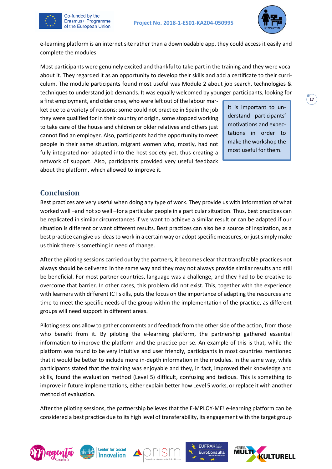

e-learning platform is an internet site rather than a downloadable app, they could access it easily and complete the modules.

Most participants were genuinely excited and thankful to take part in the training and they were vocal about it. They regarded it as an opportunity to develop their skills and add a certificate to their curriculum. The module participants found most useful was Module 2 about job search, technologies & techniques to understand job demands. It was equally welcomed by younger participants, looking for

a first employment, and older ones, who were left out of the labour market due to a variety of reasons: some could not practice in Spain the job they were qualified for in their country of origin, some stopped working to take care of the house and children or older relatives and others just cannot find an employer. Also, participants had the opportunity to meet people in their same situation, migrant women who, mostly, had not fully integrated nor adapted into the host society yet, thus creating a network of support. Also, participants provided very useful feedback about the platform, which allowed to improve it.

It is important to understand participants' motivations and expectations in order to make the workshop the most useful for them.

## <span id="page-17-0"></span>**Conclusion**

Co-funded by the Erasmus+ Programme of the European Union

Best practices are very useful when doing any type of work. They provide us with information of what worked well –and not so well –for a particular people in a particular situation. Thus, best practices can be replicated in similar circumstances if we want to achieve a similar result or can be adapted if our situation is different or want different results. Best practices can also be a source of inspiration, as a best practice can give us ideas to work in a certain way or adopt specific measures, or just simply make us think there is something in need of change.

After the piloting sessions carried out by the partners, it becomes clear that transferable practices not always should be delivered in the same way and they may not always provide similar results and still be beneficial. For most partner countries, language was a challenge, and they had to be creative to overcome that barrier. In other cases, this problem did not exist. This, together with the experience with learners with different ICT skills, puts the focus on the importance of adapting the resources and time to meet the specific needs of the group within the implementation of the practice, as different groups will need support in different areas.

Piloting sessions allow to gather comments and feedback from the other side of the action, from those who benefit from it. By piloting the e-learning platform, the partnership gathered essential information to improve the platform and the practice per se. An example of this is that, while the platform was found to be very intuitive and user friendly, participants in most countries mentioned that it would be better to include more in-depth information in the modules. In the same way, while participants stated that the training was enjoyable and they, in fact, improved their knowledge and skills, found the evaluation method (Level 5) difficult, confusing and tedious. This is something to improve in future implementations, either explain better how Level 5 works, or replace it with another method of evaluation.

After the piloting sessions, the partnership believes that the E-MPLOY-ME! e-learning platform can be considered a best practice due to its high level of transferability, its engagement with the target group









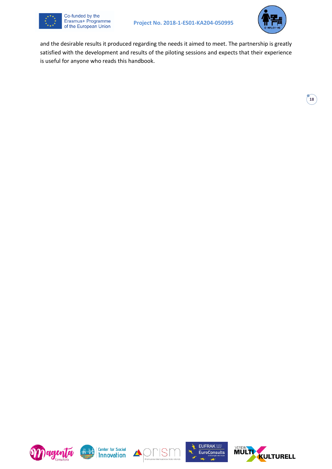



and the desirable results it produced regarding the needs it aimed to meet. The partnership is greatly satisfied with the development and results of the piloting sessions and expects that their experience is useful for anyone who reads this handbook.